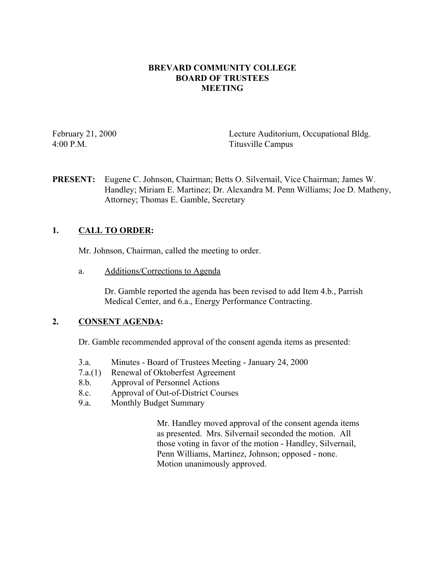### **BREVARD COMMUNITY COLLEGE BOARD OF TRUSTEES MEETING**

February 21, 2000 Lecture Auditorium, Occupational Bldg. 4:00 P.M. Titusville Campus

**PRESENT:** Eugene C. Johnson, Chairman; Betts O. Silvernail, Vice Chairman; James W. Handley; Miriam E. Martinez; Dr. Alexandra M. Penn Williams; Joe D. Matheny, Attorney; Thomas E. Gamble, Secretary

# **1. CALL TO ORDER:**

Mr. Johnson, Chairman, called the meeting to order.

a. Additions/Corrections to Agenda

Dr. Gamble reported the agenda has been revised to add Item 4.b., Parrish Medical Center, and 6.a., Energy Performance Contracting.

# **2. CONSENT AGENDA:**

Dr. Gamble recommended approval of the consent agenda items as presented:

- 3.a. Minutes Board of Trustees Meeting January 24, 2000
- 7.a.(1) Renewal of Oktoberfest Agreement
- 8.b. Approval of Personnel Actions
- 8.c. Approval of Out-of-District Courses
- 9.a. Monthly Budget Summary

Mr. Handley moved approval of the consent agenda items as presented. Mrs. Silvernail seconded the motion. All those voting in favor of the motion - Handley, Silvernail, Penn Williams, Martinez, Johnson; opposed - none. Motion unanimously approved.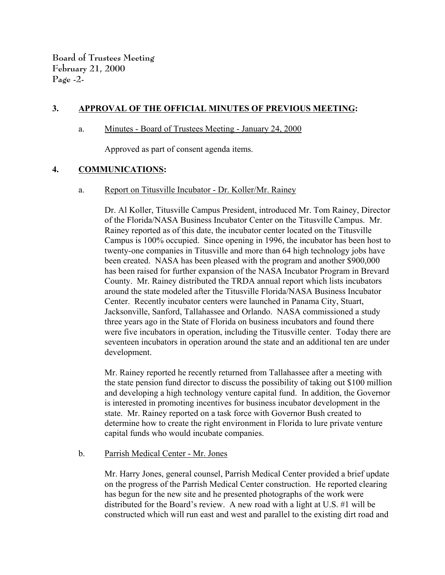**Board of Trustees Meeting February 21, 2000 Page -2-**

### **3. APPROVAL OF THE OFFICIAL MINUTES OF PREVIOUS MEETING:**

#### a. Minutes - Board of Trustees Meeting - January 24, 2000

Approved as part of consent agenda items.

### **4. COMMUNICATIONS:**

a. Report on Titusville Incubator - Dr. Koller/Mr. Rainey

Dr. Al Koller, Titusville Campus President, introduced Mr. Tom Rainey, Director of the Florida/NASA Business Incubator Center on the Titusville Campus. Mr. Rainey reported as of this date, the incubator center located on the Titusville Campus is 100% occupied. Since opening in 1996, the incubator has been host to twenty-one companies in Titusville and more than 64 high technology jobs have been created. NASA has been pleased with the program and another \$900,000 has been raised for further expansion of the NASA Incubator Program in Brevard County. Mr. Rainey distributed the TRDA annual report which lists incubators around the state modeled after the Titusville Florida/NASA Business Incubator Center. Recently incubator centers were launched in Panama City, Stuart, Jacksonville, Sanford, Tallahassee and Orlando. NASA commissioned a study three years ago in the State of Florida on business incubators and found there were five incubators in operation, including the Titusville center. Today there are seventeen incubators in operation around the state and an additional ten are under development.

Mr. Rainey reported he recently returned from Tallahassee after a meeting with the state pension fund director to discuss the possibility of taking out \$100 million and developing a high technology venture capital fund. In addition, the Governor is interested in promoting incentives for business incubator development in the state. Mr. Rainey reported on a task force with Governor Bush created to determine how to create the right environment in Florida to lure private venture capital funds who would incubate companies.

### b. Parrish Medical Center - Mr. Jones

 Mr. Harry Jones, general counsel, Parrish Medical Center provided a brief update on the progress of the Parrish Medical Center construction. He reported clearing has begun for the new site and he presented photographs of the work were distributed for the Board's review. A new road with a light at U.S. #1 will be constructed which will run east and west and parallel to the existing dirt road and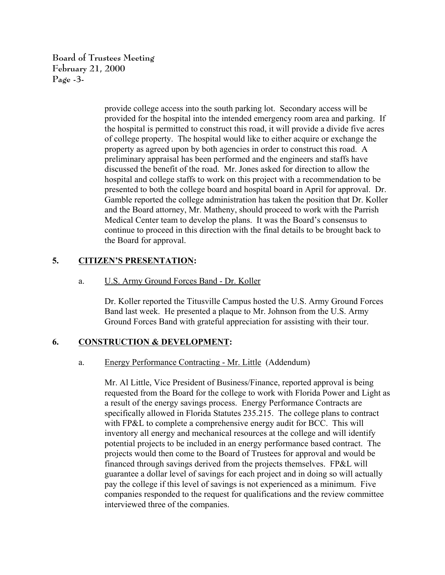**Board of Trustees Meeting February 21, 2000 Page -3-**

> provide college access into the south parking lot. Secondary access will be provided for the hospital into the intended emergency room area and parking. If the hospital is permitted to construct this road, it will provide a divide five acres of college property. The hospital would like to either acquire or exchange the property as agreed upon by both agencies in order to construct this road. A preliminary appraisal has been performed and the engineers and staffs have discussed the benefit of the road. Mr. Jones asked for direction to allow the hospital and college staffs to work on this project with a recommendation to be presented to both the college board and hospital board in April for approval. Dr. Gamble reported the college administration has taken the position that Dr. Koller and the Board attorney, Mr. Matheny, should proceed to work with the Parrish Medical Center team to develop the plans. It was the Board's consensus to continue to proceed in this direction with the final details to be brought back to the Board for approval.

### **5. CITIZEN'S PRESENTATION:**

#### a. U.S. Army Ground Forces Band - Dr. Koller

Dr. Koller reported the Titusville Campus hosted the U.S. Army Ground Forces Band last week. He presented a plaque to Mr. Johnson from the U.S. Army Ground Forces Band with grateful appreciation for assisting with their tour.

### **6. CONSTRUCTION & DEVELOPMENT:**

#### a. Energy Performance Contracting - Mr. Little (Addendum)

Mr. Al Little, Vice President of Business/Finance, reported approval is being requested from the Board for the college to work with Florida Power and Light as a result of the energy savings process. Energy Performance Contracts are specifically allowed in Florida Statutes 235.215. The college plans to contract with FP&L to complete a comprehensive energy audit for BCC. This will inventory all energy and mechanical resources at the college and will identify potential projects to be included in an energy performance based contract. The projects would then come to the Board of Trustees for approval and would be financed through savings derived from the projects themselves. FP&L will guarantee a dollar level of savings for each project and in doing so will actually pay the college if this level of savings is not experienced as a minimum. Five companies responded to the request for qualifications and the review committee interviewed three of the companies.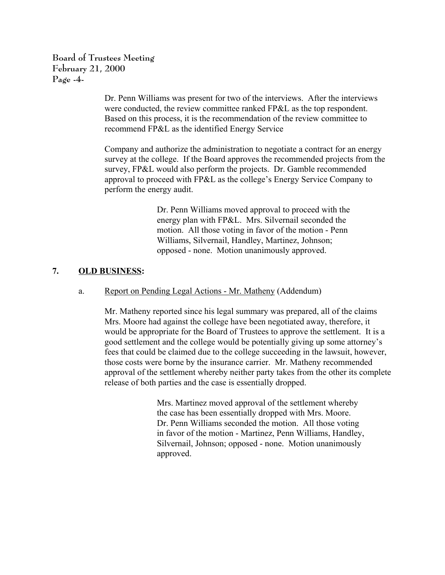**Board of Trustees Meeting February 21, 2000 Page -4-**

> Dr. Penn Williams was present for two of the interviews. After the interviews were conducted, the review committee ranked FP&L as the top respondent. Based on this process, it is the recommendation of the review committee to recommend FP&L as the identified Energy Service

Company and authorize the administration to negotiate a contract for an energy survey at the college. If the Board approves the recommended projects from the survey, FP&L would also perform the projects. Dr. Gamble recommended approval to proceed with FP&L as the college's Energy Service Company to perform the energy audit.

> Dr. Penn Williams moved approval to proceed with the energy plan with FP&L. Mrs. Silvernail seconded the motion. All those voting in favor of the motion - Penn Williams, Silvernail, Handley, Martinez, Johnson; opposed - none. Motion unanimously approved.

# **7. OLD BUSINESS:**

# a. Report on Pending Legal Actions - Mr. Matheny (Addendum)

Mr. Matheny reported since his legal summary was prepared, all of the claims Mrs. Moore had against the college have been negotiated away, therefore, it would be appropriate for the Board of Trustees to approve the settlement. It is a good settlement and the college would be potentially giving up some attorney's fees that could be claimed due to the college succeeding in the lawsuit, however, those costs were borne by the insurance carrier. Mr. Matheny recommended approval of the settlement whereby neither party takes from the other its complete release of both parties and the case is essentially dropped.

> Mrs. Martinez moved approval of the settlement whereby the case has been essentially dropped with Mrs. Moore. Dr. Penn Williams seconded the motion. All those voting in favor of the motion - Martinez, Penn Williams, Handley, Silvernail, Johnson; opposed - none. Motion unanimously approved.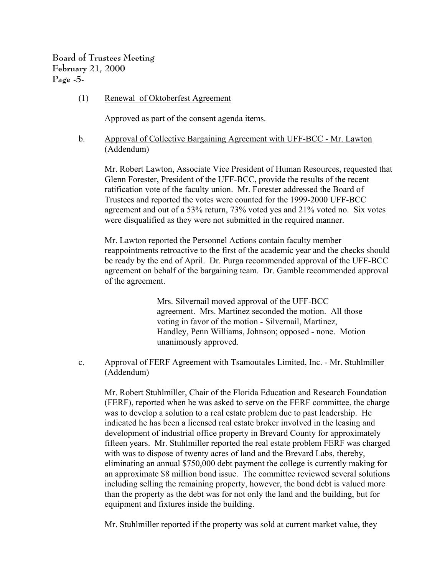**Board of Trustees Meeting February 21, 2000 Page -5-**

(1) Renewal of Oktoberfest Agreement

Approved as part of the consent agenda items.

### b. Approval of Collective Bargaining Agreement with UFF-BCC - Mr. Lawton (Addendum)

Mr. Robert Lawton, Associate Vice President of Human Resources, requested that Glenn Forester, President of the UFF-BCC, provide the results of the recent ratification vote of the faculty union. Mr. Forester addressed the Board of Trustees and reported the votes were counted for the 1999-2000 UFF-BCC agreement and out of a 53% return, 73% voted yes and 21% voted no. Six votes were disqualified as they were not submitted in the required manner.

Mr. Lawton reported the Personnel Actions contain faculty member reappointments retroactive to the first of the academic year and the checks should be ready by the end of April. Dr. Purga recommended approval of the UFF-BCC agreement on behalf of the bargaining team. Dr. Gamble recommended approval of the agreement.

> Mrs. Silvernail moved approval of the UFF-BCC agreement. Mrs. Martinez seconded the motion. All those voting in favor of the motion - Silvernail, Martinez, Handley, Penn Williams, Johnson; opposed - none. Motion unanimously approved.

 c. Approval of FERF Agreement with Tsamoutales Limited, Inc. - Mr. Stuhlmiller (Addendum)

Mr. Robert Stuhlmiller, Chair of the Florida Education and Research Foundation (FERF), reported when he was asked to serve on the FERF committee, the charge was to develop a solution to a real estate problem due to past leadership. He indicated he has been a licensed real estate broker involved in the leasing and development of industrial office property in Brevard County for approximately fifteen years. Mr. Stuhlmiller reported the real estate problem FERF was charged with was to dispose of twenty acres of land and the Brevard Labs, thereby, eliminating an annual \$750,000 debt payment the college is currently making for an approximate \$8 million bond issue. The committee reviewed several solutions including selling the remaining property, however, the bond debt is valued more than the property as the debt was for not only the land and the building, but for equipment and fixtures inside the building.

Mr. Stuhlmiller reported if the property was sold at current market value, they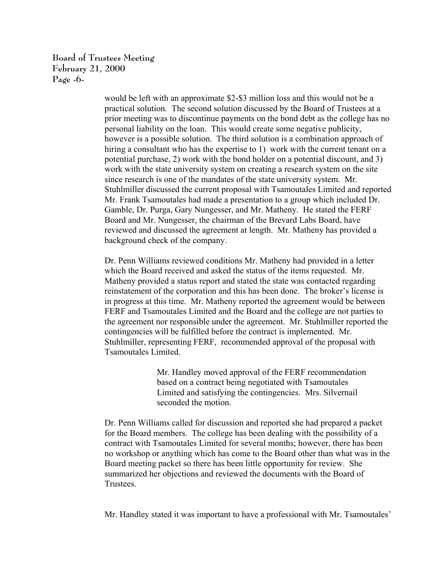**Board of Trustees Meeting February 21, 2000 Page -6-**

> would be left with an approximate \$2-\$3 million loss and this would not be a practical solution. The second solution discussed by the Board of Trustees at a prior meeting was to discontinue payments on the bond debt as the college has no personal liability on the loan. This would create some negative publicity, however is a possible solution. The third solution is a combination approach of hiring a consultant who has the expertise to 1) work with the current tenant on a potential purchase, 2) work with the bond holder on a potential discount, and 3) work with the state university system on creating a research system on the site since research is one of the mandates of the state university system. Mr. Stuhlmiller discussed the current proposal with Tsamoutales Limited and reported Mr. Frank Tsamoutales had made a presentation to a group which included Dr. Gamble, Dr. Purga, Gary Nungesser, and Mr. Matheny. He stated the FERF Board and Mr. Nungesser, the chairman of the Brevard Labs Board, have reviewed and discussed the agreement at length. Mr. Matheny has provided a background check of the company.

> Dr. Penn Williams reviewed conditions Mr. Matheny had provided in a letter which the Board received and asked the status of the items requested. Mr. Matheny provided a status report and stated the state was contacted regarding reinstatement of the corporation and this has been done. The broker's license is in progress at this time. Mr. Matheny reported the agreement would be between FERF and Tsamoutales Limited and the Board and the college are not parties to the agreement nor responsible under the agreement. Mr. Stuhlmiller reported the contingencies will be fulfilled before the contract is implemented. Mr. Stuhlmiller, representing FERF, recommended approval of the proposal with Tsamoutales Limited.

> > Mr. Handley moved approval of the FERF recommendation based on a contract being negotiated with Tsamoutales Limited and satisfying the contingencies. Mrs. Silvernail seconded the motion.

Dr. Penn Williams called for discussion and reported she had prepared a packet for the Board members. The college has been dealing with the possibility of a contract with Tsamoutales Limited for several months; however, there has been no workshop or anything which has come to the Board other than what was in the Board meeting packet so there has been little opportunity for review. She summarized her objections and reviewed the documents with the Board of Trustees.

Mr. Handley stated it was important to have a professional with Mr. Tsamoutales'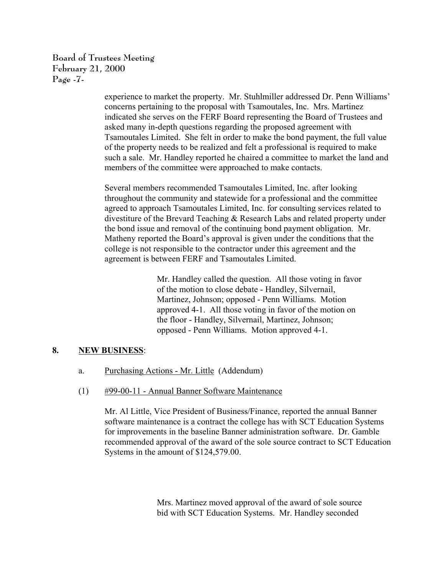**Board of Trustees Meeting February 21, 2000 Page -7-**

> experience to market the property. Mr. Stuhlmiller addressed Dr. Penn Williams' concerns pertaining to the proposal with Tsamoutales, Inc. Mrs. Martinez indicated she serves on the FERF Board representing the Board of Trustees and asked many in-depth questions regarding the proposed agreement with Tsamoutales Limited. She felt in order to make the bond payment, the full value of the property needs to be realized and felt a professional is required to make such a sale. Mr. Handley reported he chaired a committee to market the land and members of the committee were approached to make contacts.

Several members recommended Tsamoutales Limited, Inc. after looking throughout the community and statewide for a professional and the committee agreed to approach Tsamoutales Limited, Inc. for consulting services related to divestiture of the Brevard Teaching & Research Labs and related property under the bond issue and removal of the continuing bond payment obligation. Mr. Matheny reported the Board's approval is given under the conditions that the college is not responsible to the contractor under this agreement and the agreement is between FERF and Tsamoutales Limited.

> Mr. Handley called the question. All those voting in favor of the motion to close debate - Handley, Silvernail, Martinez, Johnson; opposed - Penn Williams. Motion approved 4-1. All those voting in favor of the motion on the floor - Handley, Silvernail, Martinez, Johnson; opposed - Penn Williams. Motion approved 4-1.

# **8. NEW BUSINESS**:

- a. Purchasing Actions Mr. Little (Addendum)
- (1) #99-00-11 Annual Banner Software Maintenance

Mr. Al Little, Vice President of Business/Finance, reported the annual Banner software maintenance is a contract the college has with SCT Education Systems for improvements in the baseline Banner administration software. Dr. Gamble recommended approval of the award of the sole source contract to SCT Education Systems in the amount of \$124,579.00.

> Mrs. Martinez moved approval of the award of sole source bid with SCT Education Systems. Mr. Handley seconded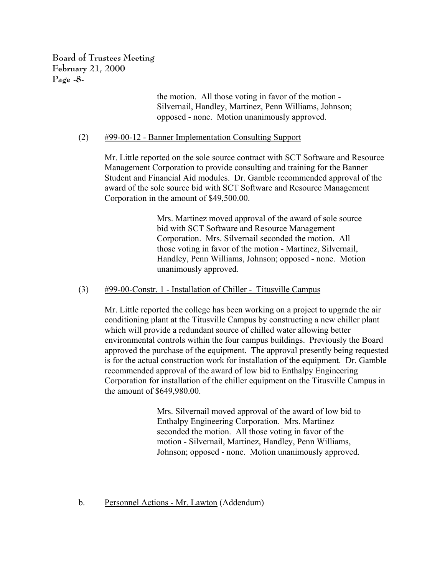**Board of Trustees Meeting February 21, 2000 Page -8-**

> the motion. All those voting in favor of the motion - Silvernail, Handley, Martinez, Penn Williams, Johnson; opposed - none. Motion unanimously approved.

### (2) #99-00-12 - Banner Implementation Consulting Support

Mr. Little reported on the sole source contract with SCT Software and Resource Management Corporation to provide consulting and training for the Banner Student and Financial Aid modules. Dr. Gamble recommended approval of the award of the sole source bid with SCT Software and Resource Management Corporation in the amount of \$49,500.00.

> Mrs. Martinez moved approval of the award of sole source bid with SCT Software and Resource Management Corporation. Mrs. Silvernail seconded the motion. All those voting in favor of the motion - Martinez, Silvernail, Handley, Penn Williams, Johnson; opposed - none. Motion unanimously approved.

#### (3) #99-00-Constr. 1 - Installation of Chiller - Titusville Campus

Mr. Little reported the college has been working on a project to upgrade the air conditioning plant at the Titusville Campus by constructing a new chiller plant which will provide a redundant source of chilled water allowing better environmental controls within the four campus buildings. Previously the Board approved the purchase of the equipment. The approval presently being requested is for the actual construction work for installation of the equipment. Dr. Gamble recommended approval of the award of low bid to Enthalpy Engineering Corporation for installation of the chiller equipment on the Titusville Campus in the amount of \$649,980.00.

> Mrs. Silvernail moved approval of the award of low bid to Enthalpy Engineering Corporation. Mrs. Martinez seconded the motion. All those voting in favor of the motion - Silvernail, Martinez, Handley, Penn Williams, Johnson; opposed - none. Motion unanimously approved.

### b. Personnel Actions - Mr. Lawton (Addendum)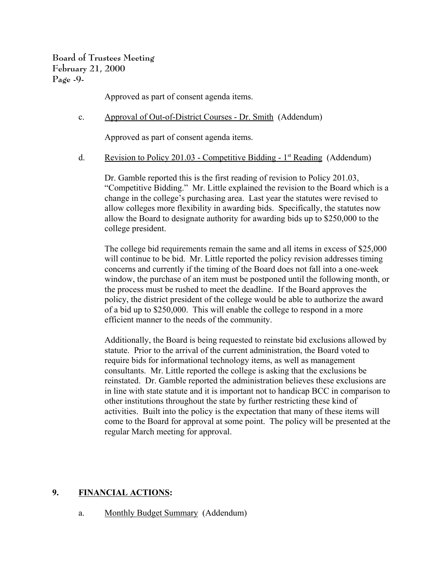**Board of Trustees Meeting February 21, 2000 Page -9-**

Approved as part of consent agenda items.

c. Approval of Out-of-District Courses - Dr. Smith (Addendum)

Approved as part of consent agenda items.

d. Revision to Policy 201.03 - Competitive Bidding -  $1<sup>st</sup>$  Reading (Addendum)

Dr. Gamble reported this is the first reading of revision to Policy 201.03, "Competitive Bidding." Mr. Little explained the revision to the Board which is a change in the college's purchasing area. Last year the statutes were revised to allow colleges more flexibility in awarding bids. Specifically, the statutes now allow the Board to designate authority for awarding bids up to \$250,000 to the college president.

The college bid requirements remain the same and all items in excess of \$25,000 will continue to be bid. Mr. Little reported the policy revision addresses timing concerns and currently if the timing of the Board does not fall into a one-week window, the purchase of an item must be postponed until the following month, or the process must be rushed to meet the deadline. If the Board approves the policy, the district president of the college would be able to authorize the award of a bid up to \$250,000. This will enable the college to respond in a more efficient manner to the needs of the community.

Additionally, the Board is being requested to reinstate bid exclusions allowed by statute. Prior to the arrival of the current administration, the Board voted to require bids for informational technology items, as well as management consultants. Mr. Little reported the college is asking that the exclusions be reinstated. Dr. Gamble reported the administration believes these exclusions are in line with state statute and it is important not to handicap BCC in comparison to other institutions throughout the state by further restricting these kind of activities. Built into the policy is the expectation that many of these items will come to the Board for approval at some point. The policy will be presented at the regular March meeting for approval.

### **9. FINANCIAL ACTIONS:**

a. Monthly Budget Summary (Addendum)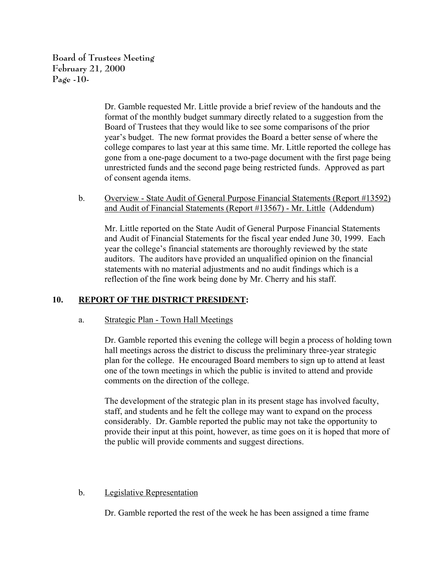**Board of Trustees Meeting February 21, 2000 Page -10-**

> Dr. Gamble requested Mr. Little provide a brief review of the handouts and the format of the monthly budget summary directly related to a suggestion from the Board of Trustees that they would like to see some comparisons of the prior year's budget. The new format provides the Board a better sense of where the college compares to last year at this same time. Mr. Little reported the college has gone from a one-page document to a two-page document with the first page being unrestricted funds and the second page being restricted funds. Approved as part of consent agenda items.

b. Overview - State Audit of General Purpose Financial Statements (Report #13592) and Audit of Financial Statements (Report #13567) - Mr. Little (Addendum)

Mr. Little reported on the State Audit of General Purpose Financial Statements and Audit of Financial Statements for the fiscal year ended June 30, 1999. Each year the college's financial statements are thoroughly reviewed by the state auditors. The auditors have provided an unqualified opinion on the financial statements with no material adjustments and no audit findings which is a reflection of the fine work being done by Mr. Cherry and his staff.

# **10. REPORT OF THE DISTRICT PRESIDENT:**

### a. Strategic Plan - Town Hall Meetings

Dr. Gamble reported this evening the college will begin a process of holding town hall meetings across the district to discuss the preliminary three-year strategic plan for the college. He encouraged Board members to sign up to attend at least one of the town meetings in which the public is invited to attend and provide comments on the direction of the college.

The development of the strategic plan in its present stage has involved faculty, staff, and students and he felt the college may want to expand on the process considerably. Dr. Gamble reported the public may not take the opportunity to provide their input at this point, however, as time goes on it is hoped that more of the public will provide comments and suggest directions.

### b. Legislative Representation

Dr. Gamble reported the rest of the week he has been assigned a time frame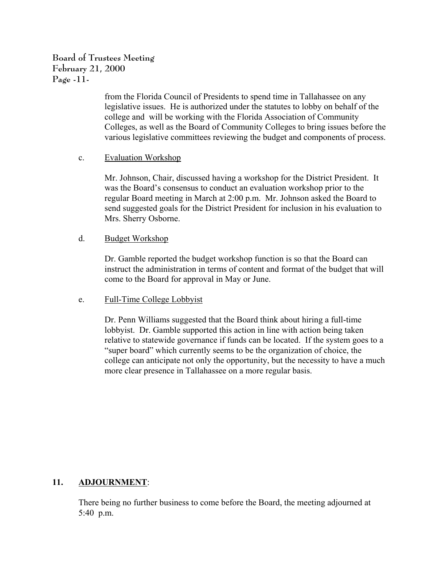# **Board of Trustees Meeting February 21, 2000 Page -11-**

from the Florida Council of Presidents to spend time in Tallahassee on any legislative issues. He is authorized under the statutes to lobby on behalf of the college and will be working with the Florida Association of Community Colleges, as well as the Board of Community Colleges to bring issues before the various legislative committees reviewing the budget and components of process.

### c. Evaluation Workshop

Mr. Johnson, Chair, discussed having a workshop for the District President. It was the Board's consensus to conduct an evaluation workshop prior to the regular Board meeting in March at 2:00 p.m. Mr. Johnson asked the Board to send suggested goals for the District President for inclusion in his evaluation to Mrs. Sherry Osborne.

### d. Budget Workshop

Dr. Gamble reported the budget workshop function is so that the Board can instruct the administration in terms of content and format of the budget that will come to the Board for approval in May or June.

### e. Full-Time College Lobbyist

Dr. Penn Williams suggested that the Board think about hiring a full-time lobbyist. Dr. Gamble supported this action in line with action being taken relative to statewide governance if funds can be located. If the system goes to a "super board" which currently seems to be the organization of choice, the college can anticipate not only the opportunity, but the necessity to have a much more clear presence in Tallahassee on a more regular basis.

# **11. ADJOURNMENT**:

There being no further business to come before the Board, the meeting adjourned at 5:40 p.m.